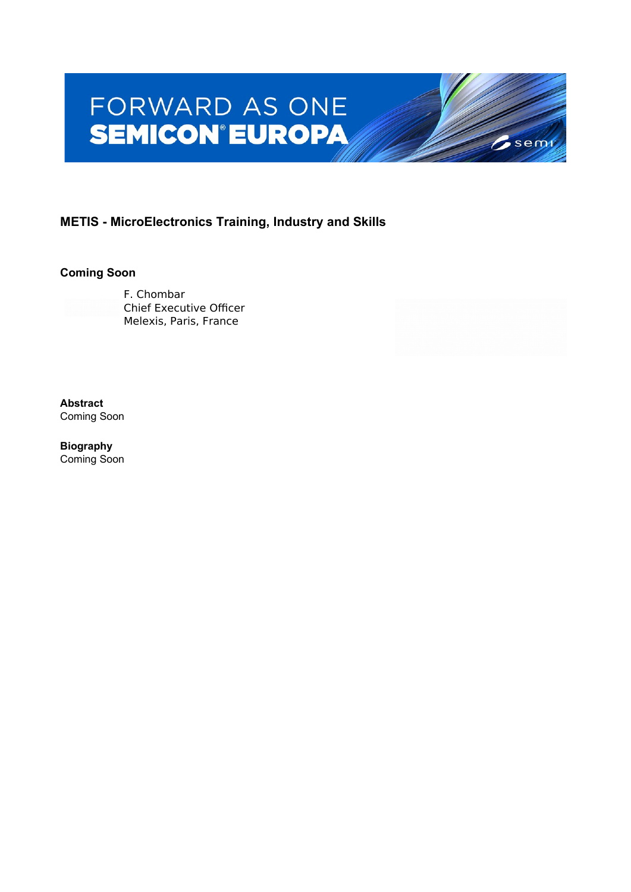# FORWARD AS ONE **SEMICON®EUROPA**

# **METIS - MicroElectronics Training, Industry and Skills**

#### **Coming Soon**

F. Chombar Chief Executive Officer Melexis, Paris, France

**Abstract** Coming Soon

**Biography** Coming Soon

 $6$ semi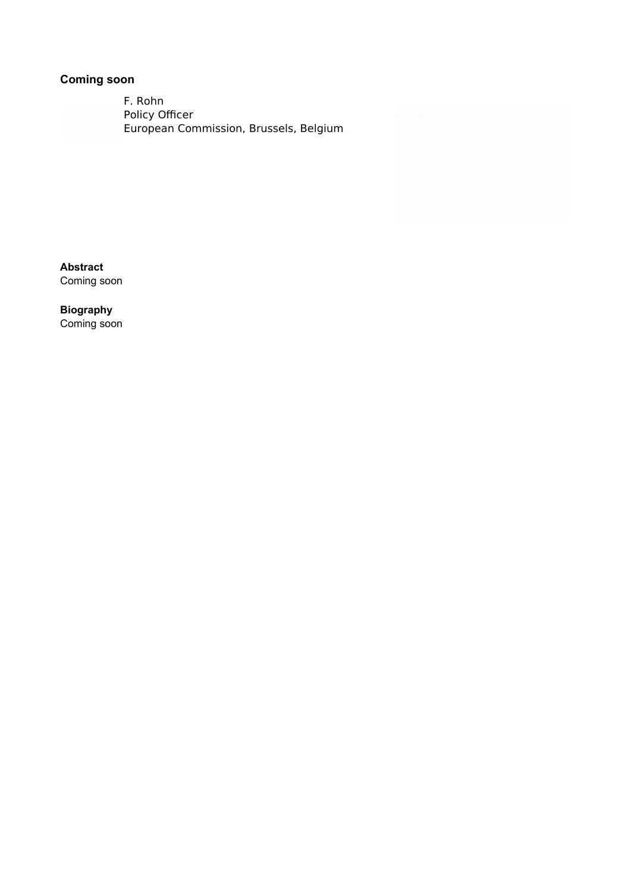F. Rohn Policy Officer European Commission, Brussels, Belgium

**Abstract** Coming soon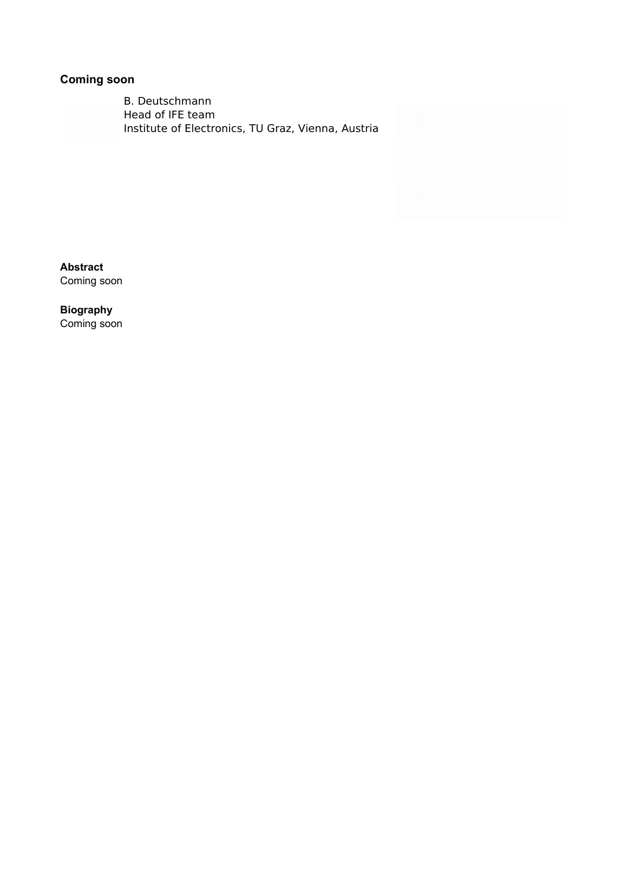B. Deutschmann Head of IFE team Institute of Electronics, TU Graz, Vienna, Austria

**Abstract** Coming soon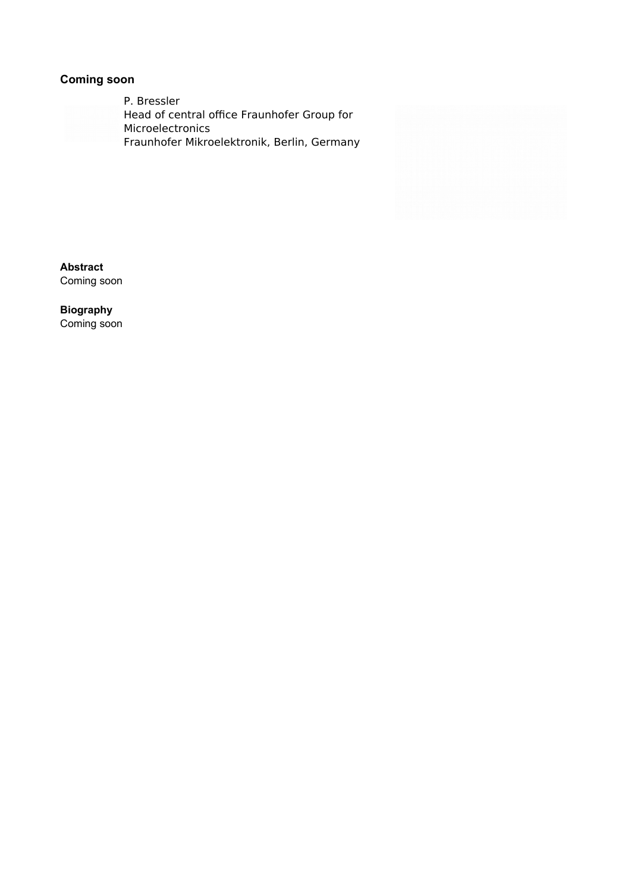P. Bressler Head of central office Fraunhofer Group for Microelectronics Fraunhofer Mikroelektronik, Berlin, Germany

**Abstract** Coming soon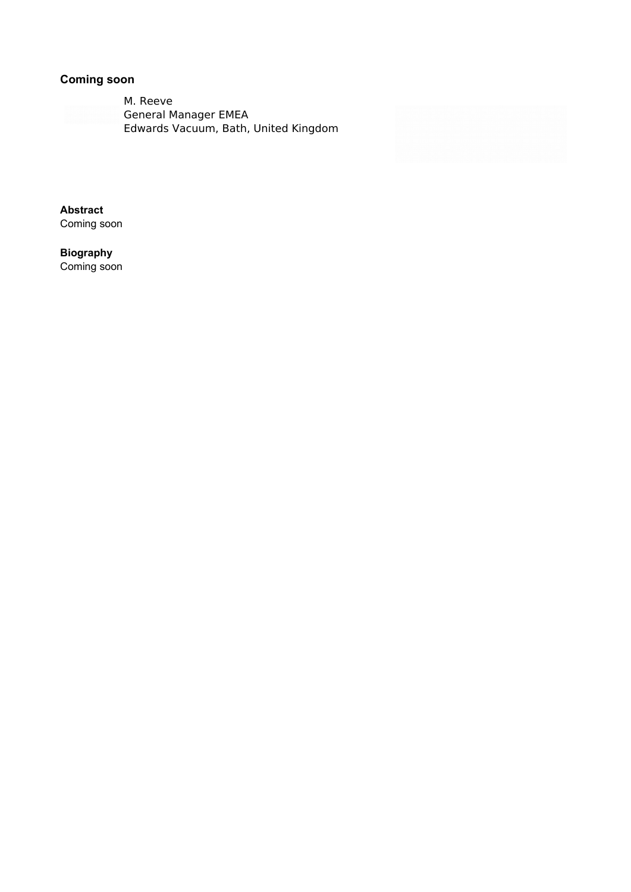M. Reeve General Manager EMEA Edwards Vacuum, Bath, United Kingdom

**Abstract** Coming soon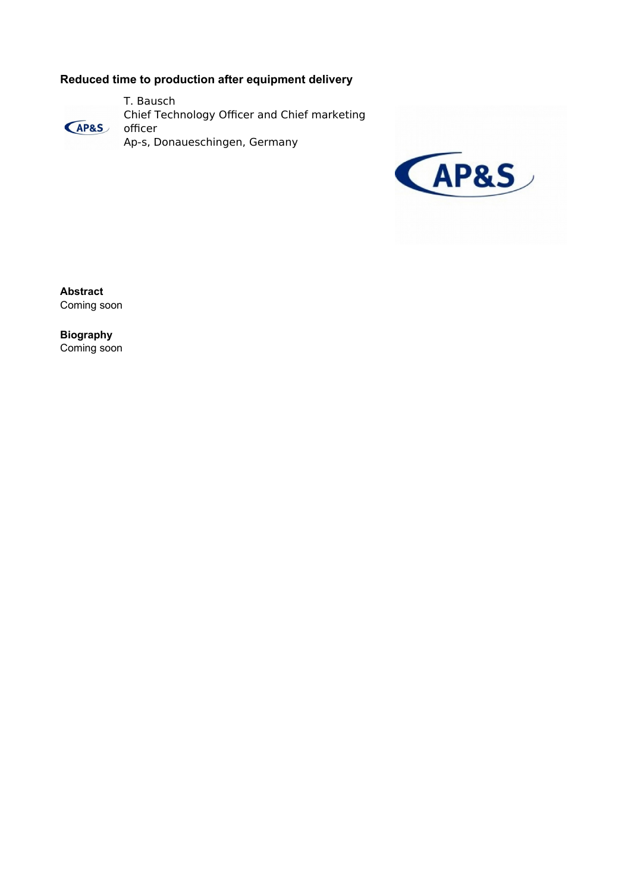## **Reduced time to production after equipment delivery**

T. Bausch Chief Technology Officer and Chief marketing **AP&S** officer Ap-s, Donaueschingen, Germany



**Abstract** Coming soon